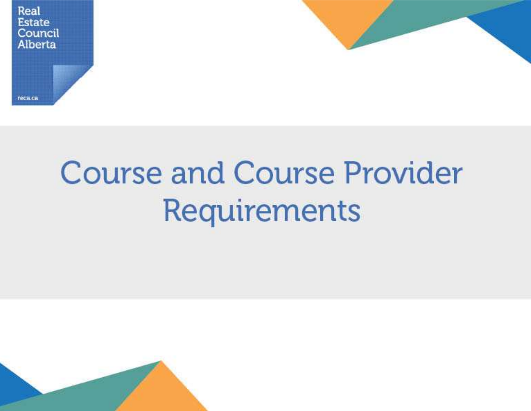



# **Course and Course Provider** Requirements

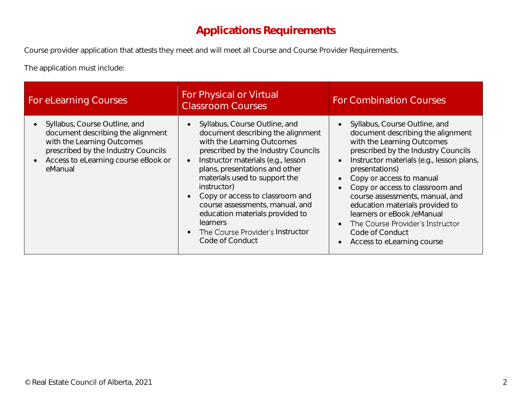## Applications Requirements

Course provider application that attests they meet and will meet all Course and Course Provider Requirements.

The application must include:

| For eLearning Courses                                                                                                                                                                                               | For Physical or Virtual<br><b>Classroom Courses</b>                                                                                                                                                                                                                                                                                                                                                                                         | <b>For Combination Courses</b>                                                                                                                                                                                                                                                                                                                                                                                                                                                                                     |
|---------------------------------------------------------------------------------------------------------------------------------------------------------------------------------------------------------------------|---------------------------------------------------------------------------------------------------------------------------------------------------------------------------------------------------------------------------------------------------------------------------------------------------------------------------------------------------------------------------------------------------------------------------------------------|--------------------------------------------------------------------------------------------------------------------------------------------------------------------------------------------------------------------------------------------------------------------------------------------------------------------------------------------------------------------------------------------------------------------------------------------------------------------------------------------------------------------|
| Syllabus, Course Outline, and<br>$\bullet$<br>document describing the alignment<br>with the Learning Outcomes<br>prescribed by the Industry Councils<br>Access to eLearning course eBook or<br>$\bullet$<br>eManual | Syllabus, Course Outline, and<br>document describing the alignment<br>with the Learning Outcomes<br>prescribed by the Industry Councils<br>Instructor materials (e.g., lesson<br>plans, presentations and other<br>materials used to support the<br>instructor)<br>Copy or access to classroom and<br>course assessments, manual, and<br>education materials provided to<br>learners<br>The Course Provider's Instructor<br>Code of Conduct | Syllabus, Course Outline, and<br>document describing the alignment<br>with the Learning Outcomes<br>prescribed by the Industry Councils<br>Instructor materials (e.g., lesson plans,<br>$\bullet$<br>presentations)<br>Copy or access to manual<br>$\bullet$<br>Copy or access to classroom and<br>course assessments, manual, and<br>education materials provided to<br>learners or eBook /eManual<br>The Course Provider's Instructor<br>$\bullet$<br>Code of Conduct<br>Access to eLearning course<br>$\bullet$ |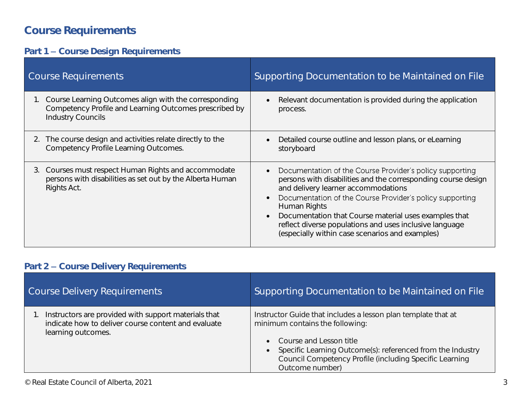# Course Requirements

#### Part 1 - Course Design Requirements

| <b>Course Requirements</b>                                                                                                       | Supporting Documentation to be Maintained on File                                                                                                                                                                                                                                                                                                                                                                                |
|----------------------------------------------------------------------------------------------------------------------------------|----------------------------------------------------------------------------------------------------------------------------------------------------------------------------------------------------------------------------------------------------------------------------------------------------------------------------------------------------------------------------------------------------------------------------------|
| 1. Course Learning Outcomes align with the corresponding                                                                         | Relevant documentation is provided during the application                                                                                                                                                                                                                                                                                                                                                                        |
| Competency Profile and Learning Outcomes prescribed by                                                                           | $\bullet$                                                                                                                                                                                                                                                                                                                                                                                                                        |
| <b>Industry Councils</b>                                                                                                         | process.                                                                                                                                                                                                                                                                                                                                                                                                                         |
| 2. The course design and activities relate directly to the                                                                       | Detailed course outline and lesson plans, or eLearning                                                                                                                                                                                                                                                                                                                                                                           |
| Competency Profile Learning Outcomes.                                                                                            | storyboard                                                                                                                                                                                                                                                                                                                                                                                                                       |
| 3. Courses must respect Human Rights and accommodate<br>persons with disabilities as set out by the Alberta Human<br>Rights Act. | Documentation of the Course Provider's policy supporting<br>persons with disabilities and the corresponding course design<br>and delivery learner accommodations<br>Documentation of the Course Provider's policy supporting<br>Human Rights<br>Documentation that Course material uses examples that<br>$\bullet$<br>reflect diverse populations and uses inclusive language<br>(especially within case scenarios and examples) |

#### Part 2 - Course Delivery Requirements

| <b>Course Delivery Requirements</b>                                                                                               | Supporting Documentation to be Maintained on File                                                                                                                                                                                                                         |
|-----------------------------------------------------------------------------------------------------------------------------------|---------------------------------------------------------------------------------------------------------------------------------------------------------------------------------------------------------------------------------------------------------------------------|
| Instructors are provided with support materials that<br>indicate how to deliver course content and evaluate<br>learning outcomes. | Instructor Guide that includes a lesson plan template that at<br>minimum contains the following:<br>• Course and Lesson title<br>Specific Learning Outcome(s): referenced from the Industry<br>Council Competency Profile (including Specific Learning<br>Outcome number) |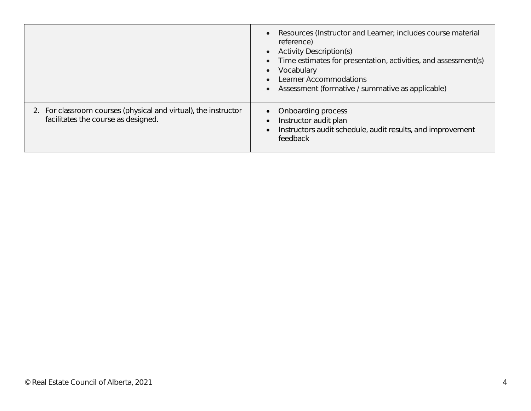|                                                                                                        | Resources (Instructor and Learner; includes course material<br>$\bullet$<br>reference)<br><b>Activity Description(s)</b><br>$\bullet$<br>Time estimates for presentation, activities, and assessment(s)<br>$\bullet$<br>Vocabulary<br><b>Learner Accommodations</b><br>Assessment (formative / summative as applicable) |
|--------------------------------------------------------------------------------------------------------|-------------------------------------------------------------------------------------------------------------------------------------------------------------------------------------------------------------------------------------------------------------------------------------------------------------------------|
| 2. For classroom courses (physical and virtual), the instructor<br>facilitates the course as designed. | • Onboarding process<br>Instructor audit plan<br>$\bullet$<br>Instructors audit schedule, audit results, and improvement<br>$\bullet$<br>feedback                                                                                                                                                                       |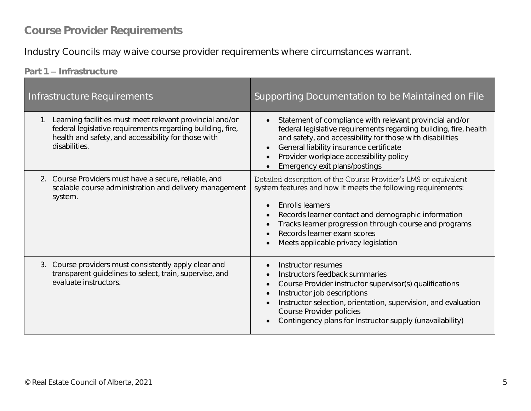### Course Provider Requirements

Industry Councils may waive course provider requirements where circumstances warrant.

Part 1 - Infrastructure

| Infrastructure Requirements                                                                                                                                                                       | Supporting Documentation to be Maintained on File                                                                                                                                                                                                                                                                                                                         |
|---------------------------------------------------------------------------------------------------------------------------------------------------------------------------------------------------|---------------------------------------------------------------------------------------------------------------------------------------------------------------------------------------------------------------------------------------------------------------------------------------------------------------------------------------------------------------------------|
| 1. Learning facilities must meet relevant provincial and/or<br>federal legislative requirements regarding building, fire,<br>health and safety, and accessibility for those with<br>disabilities. | Statement of compliance with relevant provincial and/or<br>$\bullet$<br>federal legislative requirements regarding building, fire, health<br>and safety, and accessibility for those with disabilities<br>General liability insurance certificate<br>$\bullet$<br>Provider workplace accessibility policy<br>Emergency exit plans/postings                                |
| 2. Course Providers must have a secure, reliable, and<br>scalable course administration and delivery management<br>system.                                                                        | Detailed description of the Course Provider's LMS or equivalent<br>system features and how it meets the following requirements:<br>Enrolls learners<br>$\bullet$<br>Records learner contact and demographic information<br>$\bullet$<br>Tracks learner progression through course and programs<br>Records learner exam scores<br>Meets applicable privacy legislation     |
| 3. Course providers must consistently apply clear and<br>transparent guidelines to select, train, supervise, and<br>evaluate instructors.                                                         | Instructor resumes<br>$\bullet$<br>Instructors feedback summaries<br>$\bullet$<br>Course Provider instructor supervisor(s) qualifications<br>$\bullet$<br>Instructor job descriptions<br>$\bullet$<br>Instructor selection, orientation, supervision, and evaluation<br>$\bullet$<br>Course Provider policies<br>Contingency plans for Instructor supply (unavailability) |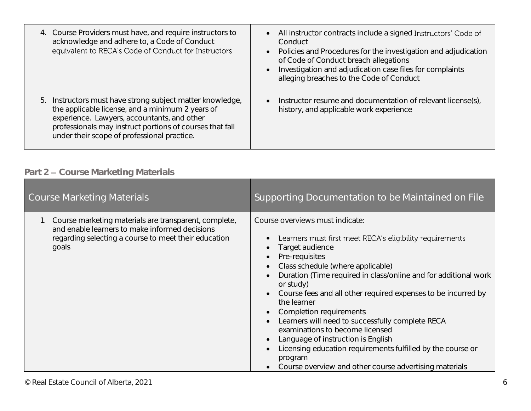| 4. Course Providers must have, and require instructors to<br>acknowledge and adhere to, a Code of Conduct<br>equivalent to RECA's Code of Conduct for Instructors                                                                                                       | All instructor contracts include a signed Instructors' Code of<br>$\bullet$<br>Conduct<br>Policies and Procedures for the investigation and adjudication<br>$\bullet$<br>of Code of Conduct breach allegations<br>Investigation and adjudication case files for complaints<br>$\bullet$<br>alleging breaches to the Code of Conduct |
|-------------------------------------------------------------------------------------------------------------------------------------------------------------------------------------------------------------------------------------------------------------------------|-------------------------------------------------------------------------------------------------------------------------------------------------------------------------------------------------------------------------------------------------------------------------------------------------------------------------------------|
| 5. Instructors must have strong subject matter knowledge,<br>the applicable license, and a minimum 2 years of<br>experience. Lawyers, accountants, and other<br>professionals may instruct portions of courses that fall<br>under their scope of professional practice. | Instructor resume and documentation of relevant license(s),<br>$\bullet$<br>history, and applicable work experience                                                                                                                                                                                                                 |

#### Part 2 - Course Marketing Materials

| <b>Course Marketing Materials</b>                                                                                                                                           | Supporting Documentation to be Maintained on File                                                                                                                                                                                                                                                                                                                                                                                                                                                                                                                                                                                                                                                               |
|-----------------------------------------------------------------------------------------------------------------------------------------------------------------------------|-----------------------------------------------------------------------------------------------------------------------------------------------------------------------------------------------------------------------------------------------------------------------------------------------------------------------------------------------------------------------------------------------------------------------------------------------------------------------------------------------------------------------------------------------------------------------------------------------------------------------------------------------------------------------------------------------------------------|
| 1. Course marketing materials are transparent, complete,<br>and enable learners to make informed decisions<br>regarding selecting a course to meet their education<br>goals | Course overviews must indicate:<br>Learners must first meet RECA's eligibility requirements<br>Target audience<br>$\bullet$<br>Pre-requisites<br>$\bullet$<br>Class schedule (where applicable)<br>$\bullet$<br>Duration (Time required in class/online and for additional work<br>or study)<br>Course fees and all other required expenses to be incurred by<br>the learner<br>Completion requirements<br>$\bullet$<br>Learners will need to successfully complete RECA<br>examinations to become licensed<br>Language of instruction is English<br>$\bullet$<br>Licensing education requirements fulfilled by the course or<br>$\bullet$<br>program<br>Course overview and other course advertising materials |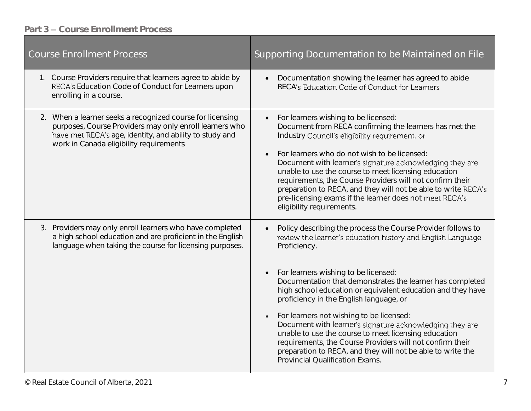#### Part 3 - Course Enrollment Process

| <b>Course Enrollment Process</b>                                                                                                                                                                                           | Supporting Documentation to be Maintained on File                                                                                                                                                                                                                                                                                                                                                                                                                                                                                                                                                                                                                                                                                |
|----------------------------------------------------------------------------------------------------------------------------------------------------------------------------------------------------------------------------|----------------------------------------------------------------------------------------------------------------------------------------------------------------------------------------------------------------------------------------------------------------------------------------------------------------------------------------------------------------------------------------------------------------------------------------------------------------------------------------------------------------------------------------------------------------------------------------------------------------------------------------------------------------------------------------------------------------------------------|
| 1. Course Providers require that learners agree to abide by<br>RECA's Education Code of Conduct for Learners upon<br>enrolling in a course.                                                                                | Documentation showing the learner has agreed to abide<br>$\bullet$<br>RECA's Education Code of Conduct for Learners                                                                                                                                                                                                                                                                                                                                                                                                                                                                                                                                                                                                              |
| 2. When a learner seeks a recognized course for licensing<br>purposes, Course Providers may only enroll learners who<br>have met RECA's age, identity, and ability to study and<br>work in Canada eligibility requirements | For learners wishing to be licensed:<br>$\bullet$<br>Document from RECA confirming the learners has met the<br>Industry Council's eligibility requirement, or<br>For learners who do not wish to be licensed:<br>Document with learner's signature acknowledging they are<br>unable to use the course to meet licensing education<br>requirements, the Course Providers will not confirm their<br>preparation to RECA, and they will not be able to write RECA's<br>pre-licensing exams if the learner does not meet RECA's<br>eligibility requirements.                                                                                                                                                                         |
| Providers may only enroll learners who have completed<br>3.<br>a high school education and are proficient in the English<br>language when taking the course for licensing purposes.                                        | Policy describing the process the Course Provider follows to<br>$\bullet$<br>review the learner's education history and English Language<br>Proficiency.<br>For learners wishing to be licensed:<br>$\bullet$<br>Documentation that demonstrates the learner has completed<br>high school education or equivalent education and they have<br>proficiency in the English language, or<br>For learners not wishing to be licensed:<br>$\bullet$<br>Document with learner's signature acknowledging they are<br>unable to use the course to meet licensing education<br>requirements, the Course Providers will not confirm their<br>preparation to RECA, and they will not be able to write the<br>Provincial Qualification Exams. |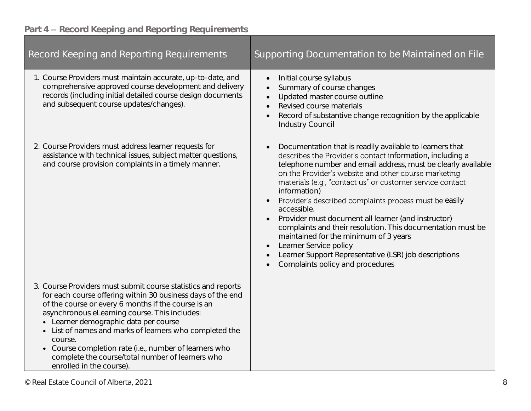# Part 4 - Record Keeping and Reporting Requirements

| Record Keeping and Reporting Requirements                                                                                                                                                                                                                                                                                                                                                                                                                                                     | Supporting Documentation to be Maintained on File                                                                                                                                                                                                                                                                                                                                                                                                                                                                                                                                                                                                                                                       |
|-----------------------------------------------------------------------------------------------------------------------------------------------------------------------------------------------------------------------------------------------------------------------------------------------------------------------------------------------------------------------------------------------------------------------------------------------------------------------------------------------|---------------------------------------------------------------------------------------------------------------------------------------------------------------------------------------------------------------------------------------------------------------------------------------------------------------------------------------------------------------------------------------------------------------------------------------------------------------------------------------------------------------------------------------------------------------------------------------------------------------------------------------------------------------------------------------------------------|
| 1. Course Providers must maintain accurate, up-to-date, and<br>comprehensive approved course development and delivery<br>records (including initial detailed course design documents<br>and subsequent course updates/changes).                                                                                                                                                                                                                                                               | Initial course syllabus<br>Summary of course changes<br>Updated master course outline<br>$\bullet$<br>Revised course materials<br>Record of substantive change recognition by the applicable<br><b>Industry Council</b>                                                                                                                                                                                                                                                                                                                                                                                                                                                                                 |
| 2. Course Providers must address learner requests for<br>assistance with technical issues, subject matter questions,<br>and course provision complaints in a timely manner.                                                                                                                                                                                                                                                                                                                   | Documentation that is readily available to learners that<br>describes the Provider's contact information, including a<br>telephone number and email address, must be clearly available<br>on the Provider's website and other course marketing<br>materials (e.g., "contact us" or customer service contact<br>information)<br>Provider's described complaints process must be easily<br>accessible.<br>Provider must document all learner (and instructor)<br>complaints and their resolution. This documentation must be<br>maintained for the minimum of 3 years<br>Learner Service policy<br>$\bullet$<br>Learner Support Representative (LSR) job descriptions<br>Complaints policy and procedures |
| 3. Course Providers must submit course statistics and reports<br>for each course offering within 30 business days of the end<br>of the course or every 6 months if the course is an<br>asynchronous eLearning course. This includes:<br>• Learner demographic data per course<br>• List of names and marks of learners who completed the<br>course.<br>• Course completion rate (i.e., number of learners who<br>complete the course/total number of learners who<br>enrolled in the course). |                                                                                                                                                                                                                                                                                                                                                                                                                                                                                                                                                                                                                                                                                                         |